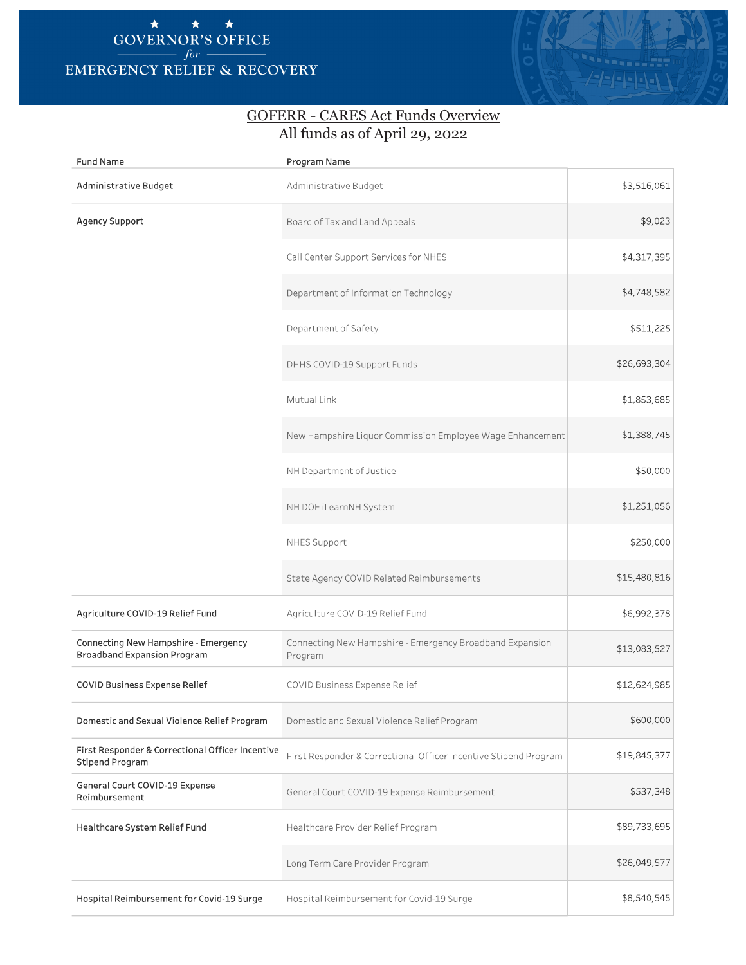## \* \* \* **GOVERNOR'S OFFICE**   $for-$ **EMERGENCY RELIEF** & **RECOVERY**



## GOFERR - CARES Act Funds Overview All funds as of April 29, 2022

| <b>Fund Name</b>                                                           | Program Name                                                        |              |  |
|----------------------------------------------------------------------------|---------------------------------------------------------------------|--------------|--|
| Administrative Budget                                                      | Administrative Budget                                               | \$3,516,061  |  |
| Agency Support                                                             | Board of Tax and Land Appeals                                       | \$9,023      |  |
|                                                                            | Call Center Support Services for NHES                               | \$4,317,395  |  |
|                                                                            | Department of Information Technology                                | \$4,748,582  |  |
|                                                                            | Department of Safety                                                | \$511,225    |  |
|                                                                            | DHHS COVID-19 Support Funds                                         | \$26,693,304 |  |
|                                                                            | Mutual Link                                                         | \$1,853,685  |  |
|                                                                            | New Hampshire Liquor Commission Employee Wage Enhancement           | \$1,388,745  |  |
|                                                                            | NH Department of Justice                                            | \$50,000     |  |
|                                                                            | NH DOE iLearnNH System                                              | \$1,251,056  |  |
|                                                                            | NHES Support                                                        | \$250,000    |  |
|                                                                            | State Agency COVID Related Reimbursements                           | \$15,480,816 |  |
| Agriculture COVID-19 Relief Fund                                           | Agriculture COVID-19 Relief Fund                                    | \$6,992,378  |  |
| Connecting New Hampshire - Emergency<br><b>Broadband Expansion Program</b> | Connecting New Hampshire - Emergency Broadband Expansion<br>Program | \$13,083,527 |  |
| COVID Business Expense Relief                                              | COVID Business Expense Relief                                       | \$12,624,985 |  |
| Domestic and Sexual Violence Relief Program                                | Domestic and Sexual Violence Relief Program                         | \$600,000    |  |
| First Responder & Correctional Officer Incentive<br>Stipend Program        | First Responder & Correctional Officer Incentive Stipend Program    | \$19,845,377 |  |
| General Court COVID-19 Expense<br>Reimbursement                            | General Court COVID-19 Expense Reimbursement                        | \$537,348    |  |
| Healthcare System Relief Fund                                              | Healthcare Provider Relief Program                                  | \$89,733,695 |  |
|                                                                            | Long Term Care Provider Program                                     | \$26,049,577 |  |
| Hospital Reimbursement for Covid-19 Surge                                  | Hospital Reimbursement for Covid-19 Surge                           | \$8,540,545  |  |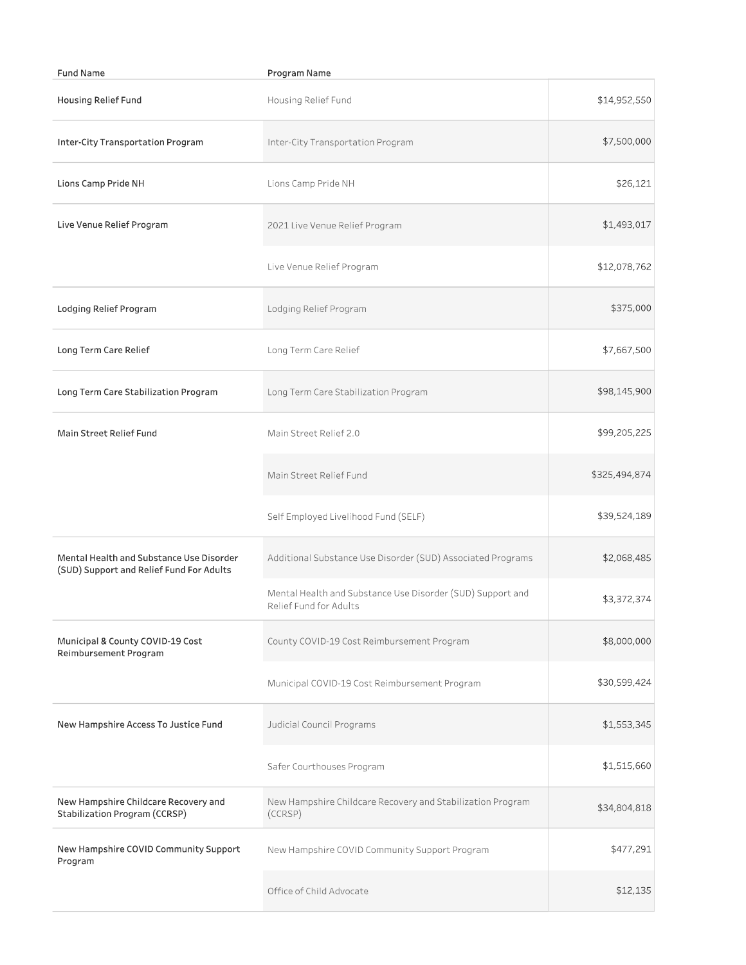| <b>Fund Name</b>                                                                     | Program Name                                                                         |               |
|--------------------------------------------------------------------------------------|--------------------------------------------------------------------------------------|---------------|
| Housing Relief Fund                                                                  | Housing Relief Fund                                                                  | \$14,952,550  |
| Inter-City Transportation Program                                                    | Inter-City Transportation Program                                                    | \$7,500,000   |
| Lions Camp Pride NH                                                                  | Lions Camp Pride NH                                                                  | \$26,121      |
| Live Venue Relief Program                                                            | 2021 Live Venue Relief Program                                                       | \$1,493,017   |
|                                                                                      | Live Venue Relief Program                                                            | \$12,078,762  |
| Lodging Relief Program                                                               | Lodging Relief Program                                                               | \$375,000     |
| Long Term Care Relief                                                                | Long Term Care Relief                                                                | \$7,667,500   |
| Long Term Care Stabilization Program                                                 | Long Term Care Stabilization Program                                                 | \$98,145,900  |
| Main Street Relief Fund                                                              | Main Street Relief 2.0                                                               | \$99,205,225  |
|                                                                                      | Main Street Relief Fund                                                              | \$325,494,874 |
|                                                                                      | Self Employed Livelihood Fund (SELF)                                                 | \$39,524,189  |
| Mental Health and Substance Use Disorder<br>(SUD) Support and Relief Fund For Adults | Additional Substance Use Disorder (SUD) Associated Programs                          | \$2,068,485   |
|                                                                                      | Mental Health and Substance Use Disorder (SUD) Support and<br>Relief Fund for Adults | \$3,372,374   |
| Municipal & County COVID-19 Cost<br>Reimbursement Program                            | County COVID-19 Cost Reimbursement Program                                           | \$8,000,000   |
|                                                                                      | Municipal COVID-19 Cost Reimbursement Program                                        | \$30,599,424  |
| New Hampshire Access To Justice Fund                                                 | Judicial Council Programs                                                            | \$1,553,345   |
|                                                                                      | Safer Courthouses Program                                                            | \$1,515,660   |
| New Hampshire Childcare Recovery and<br>Stabilization Program (CCRSP)                | New Hampshire Childcare Recovery and Stabilization Program<br>(CCRSP)                | \$34,804,818  |
| New Hampshire COVID Community Support<br>Program                                     | New Hampshire COVID Community Support Program                                        | \$477,291     |
|                                                                                      | Office of Child Advocate                                                             | \$12,135      |